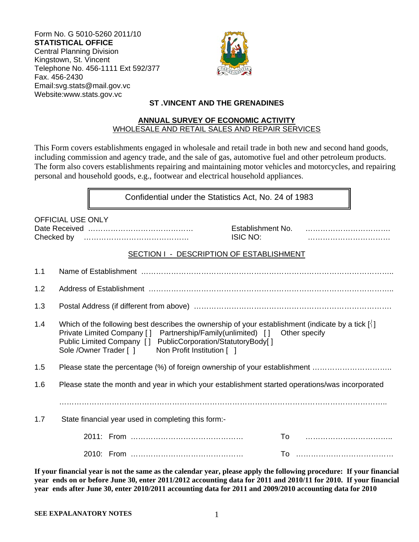Form No. G 5010-5260 2011/10 **STATISTICAL OFFICE**  Central Planning Division Kingstown, St. Vincent Telephone No. 456-1111 Ext 592/377 Fax. 456-2430 Email:svg.stats@mail.gov.vc Website:www.stats.gov.vc



## **ST .VINCENT AND THE GRENADINES**

#### **ANNUAL SURVEY OF ECONOMIC ACTIVITY**  WHOLESALE AND RETAIL SALES AND REPAIR SERVICES

This Form covers establishments engaged in wholesale and retail trade in both new and second hand goods, including commission and agency trade, and the sale of gas, automotive fuel and other petroleum products. The form also covers establishments repairing and maintaining motor vehicles and motorcycles, and repairing personal and household goods, e.g., footwear and electrical household appliances.

Confidential under the Statistics Act, No. 24 of 1983

|     | <b>OFFICIAL USE ONLY</b>                                                                                                                                                                                                                                                                                                   | Establishment No.<br><b>ISIC NO:</b> |  |  |
|-----|----------------------------------------------------------------------------------------------------------------------------------------------------------------------------------------------------------------------------------------------------------------------------------------------------------------------------|--------------------------------------|--|--|
|     | SECTION I - DESCRIPTION OF ESTABLISHMENT                                                                                                                                                                                                                                                                                   |                                      |  |  |
| 1.1 |                                                                                                                                                                                                                                                                                                                            |                                      |  |  |
| 1.2 |                                                                                                                                                                                                                                                                                                                            |                                      |  |  |
| 1.3 |                                                                                                                                                                                                                                                                                                                            |                                      |  |  |
| 1.4 | Which of the following best describes the ownership of your establishment (indicate by a tick $\lceil \cdot \rceil$ )<br>Private Limited Company [] Partnership/Family(unlimited) [] Other specify<br>Public Limited Company [] PublicCorporation/StatutoryBody[]<br>Sole / Owner Trader [ ]<br>Non Profit Institution [ ] |                                      |  |  |
| 1.5 | Please state the percentage (%) of foreign ownership of your establishment                                                                                                                                                                                                                                                 |                                      |  |  |
| 1.6 | Please state the month and year in which your establishment started operations/was incorporated                                                                                                                                                                                                                            |                                      |  |  |
|     |                                                                                                                                                                                                                                                                                                                            |                                      |  |  |
| 1.7 | State financial year used in completing this form:-                                                                                                                                                                                                                                                                        |                                      |  |  |
|     |                                                                                                                                                                                                                                                                                                                            |                                      |  |  |
|     |                                                                                                                                                                                                                                                                                                                            |                                      |  |  |

**If your financial year is not the same as the calendar year, please apply the following procedure: If your financial year ends on or before June 30, enter 2011/2012 accounting data for 2011 and 2010/11 for 2010. If your financial year ends after June 30, enter 2010/2011 accounting data for 2011 and 2009/2010 accounting data for 2010**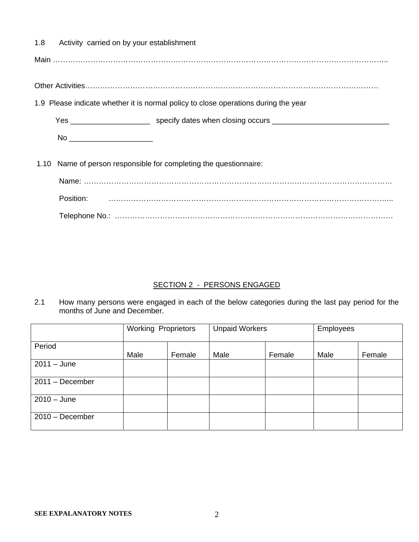1.8 Activity carried on by your establishment

Main ……………………………………………………………………………………………………………………..

Other Activities………………………………………………………………………………………………………

1.9 Please indicate whether it is normal policy to close operations during the year

Yes \_\_\_\_\_\_\_\_\_\_\_\_\_\_\_\_\_\_\_\_\_\_\_\_\_\_ specify dates when closing occurs \_\_\_\_\_\_\_\_\_\_\_\_\_\_\_\_\_\_\_\_\_\_\_\_\_\_\_\_\_\_\_\_\_\_

No \_\_\_\_\_\_\_\_\_\_\_\_\_\_\_\_\_\_\_\_

1.10 Name of person responsible for completing the questionnaire:

| Position: |  |
|-----------|--|
|           |  |

### SECTION 2 - PERSONS ENGAGED

2.1 How many persons were engaged in each of the below categories during the last pay period for the months of June and December.

|                   | <b>Working Proprietors</b> |        | <b>Unpaid Workers</b> |        | Employees |        |
|-------------------|----------------------------|--------|-----------------------|--------|-----------|--------|
| Period            | Male                       | Female | Male                  | Female | Male      | Female |
| $2011 - June$     |                            |        |                       |        |           |        |
| $2011 - December$ |                            |        |                       |        |           |        |
| $2010 - June$     |                            |        |                       |        |           |        |
| $2010 - December$ |                            |        |                       |        |           |        |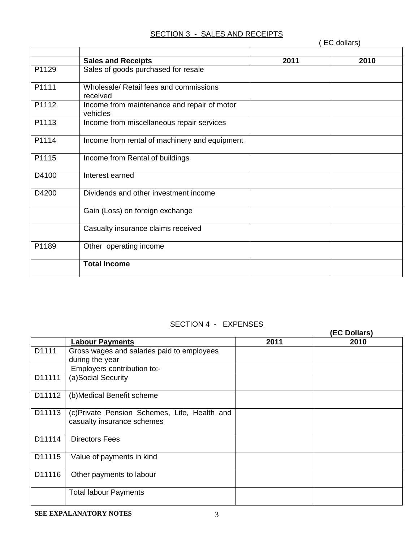# SECTION 3 - SALES AND RECEIPTS

|       |                                                         | EC dollars) |      |  |
|-------|---------------------------------------------------------|-------------|------|--|
|       | <b>Sales and Receipts</b>                               | 2011        | 2010 |  |
| P1129 | Sales of goods purchased for resale                     |             |      |  |
| P1111 | Wholesale/ Retail fees and commissions<br>received      |             |      |  |
| P1112 | Income from maintenance and repair of motor<br>vehicles |             |      |  |
| P1113 | Income from miscellaneous repair services               |             |      |  |
| P1114 | Income from rental of machinery and equipment           |             |      |  |
| P1115 | Income from Rental of buildings                         |             |      |  |
| D4100 | Interest earned                                         |             |      |  |
| D4200 | Dividends and other investment income                   |             |      |  |
|       | Gain (Loss) on foreign exchange                         |             |      |  |
|       | Casualty insurance claims received                      |             |      |  |
| P1189 | Other operating income                                  |             |      |  |
|       | <b>Total Income</b>                                     |             |      |  |

# SECTION 4 - EXPENSES

|        |                                                                             |      | (EC Dollars) |
|--------|-----------------------------------------------------------------------------|------|--------------|
|        | <b>Labour Payments</b>                                                      | 2011 | 2010         |
| D1111  | Gross wages and salaries paid to employees<br>during the year               |      |              |
|        | Employers contribution to:-                                                 |      |              |
| D11111 | (a)Social Security                                                          |      |              |
| D11112 | (b)Medical Benefit scheme                                                   |      |              |
| D11113 | (c) Private Pension Schemes, Life, Health and<br>casualty insurance schemes |      |              |
| D11114 | <b>Directors Fees</b>                                                       |      |              |
| D11115 | Value of payments in kind                                                   |      |              |
| D11116 | Other payments to labour                                                    |      |              |
|        | <b>Total labour Payments</b>                                                |      |              |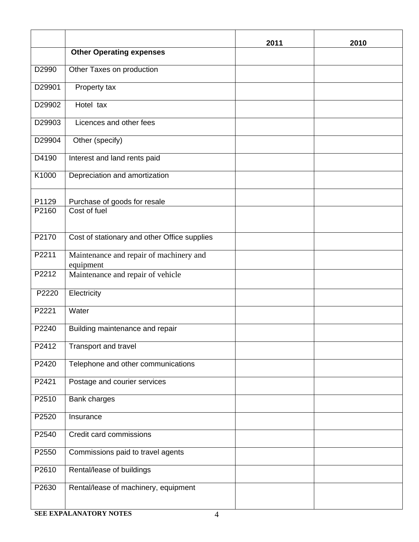|        |                                                      | 2011 | 2010 |
|--------|------------------------------------------------------|------|------|
|        | <b>Other Operating expenses</b>                      |      |      |
| D2990  | Other Taxes on production                            |      |      |
| D29901 | Property tax                                         |      |      |
| D29902 | Hotel tax                                            |      |      |
| D29903 | Licences and other fees                              |      |      |
| D29904 | Other (specify)                                      |      |      |
| D4190  | Interest and land rents paid                         |      |      |
| K1000  | Depreciation and amortization                        |      |      |
| P1129  | Purchase of goods for resale                         |      |      |
| P2160  | Cost of fuel                                         |      |      |
| P2170  | Cost of stationary and other Office supplies         |      |      |
|        |                                                      |      |      |
| P2211  | Maintenance and repair of machinery and<br>equipment |      |      |
| P2212  | Maintenance and repair of vehicle                    |      |      |
| P2220  | Electricity                                          |      |      |
| P2221  | Water                                                |      |      |
| P2240  | Building maintenance and repair                      |      |      |
| P2412  | Transport and travel                                 |      |      |
| P2420  | Telephone and other communications                   |      |      |
| P2421  | Postage and courier services                         |      |      |
| P2510  | <b>Bank charges</b>                                  |      |      |
| P2520  | Insurance                                            |      |      |
| P2540  | Credit card commissions                              |      |      |
| P2550  | Commissions paid to travel agents                    |      |      |
| P2610  | Rental/lease of buildings                            |      |      |
| P2630  | Rental/lease of machinery, equipment                 |      |      |
|        |                                                      |      |      |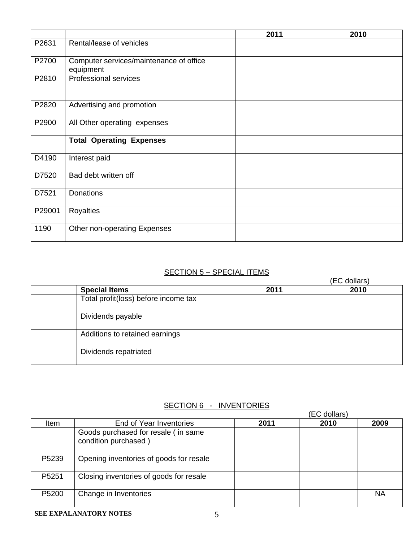|        |                                                      | 2011 | 2010 |
|--------|------------------------------------------------------|------|------|
| P2631  | Rental/lease of vehicles                             |      |      |
| P2700  | Computer services/maintenance of office<br>equipment |      |      |
| P2810  | <b>Professional services</b>                         |      |      |
| P2820  | Advertising and promotion                            |      |      |
| P2900  | All Other operating expenses                         |      |      |
|        | <b>Total Operating Expenses</b>                      |      |      |
| D4190  | Interest paid                                        |      |      |
| D7520  | Bad debt written off                                 |      |      |
| D7521  | <b>Donations</b>                                     |      |      |
| P29001 | Royalties                                            |      |      |
| 1190   | Other non-operating Expenses                         |      |      |

# SECTION 5 – SPECIAL ITEMS

|                                      | (EC dollars) |      |
|--------------------------------------|--------------|------|
| <b>Special Items</b>                 | 2011         | 2010 |
| Total profit(loss) before income tax |              |      |
| Dividends payable                    |              |      |
| Additions to retained earnings       |              |      |
| Dividends repatriated                |              |      |

# SECTION 6 - INVENTORIES

|             |                                                             | (EC dollars) |      |           |
|-------------|-------------------------------------------------------------|--------------|------|-----------|
| <b>Item</b> | End of Year Inventories                                     | 2011         | 2010 | 2009      |
|             | Goods purchased for resale (in same<br>condition purchased) |              |      |           |
| P5239       | Opening inventories of goods for resale                     |              |      |           |
| P5251       | Closing inventories of goods for resale                     |              |      |           |
| P5200       | Change in Inventories                                       |              |      | <b>NA</b> |

#### **SEE EXPALANATORY NOTES** 5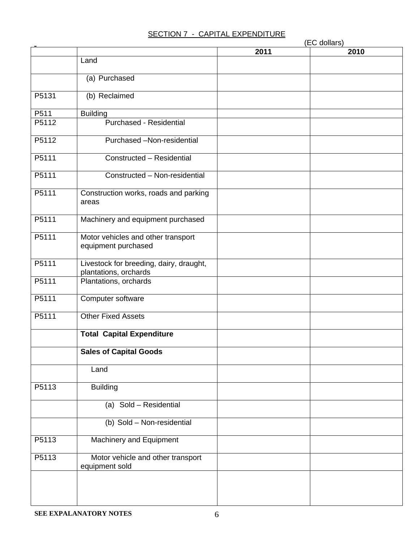## SECTION 7 - CAPITAL EXPENDITURE

|       |                                                                  | (EC dollars) |      |  |
|-------|------------------------------------------------------------------|--------------|------|--|
|       |                                                                  | 2011         | 2010 |  |
|       | Land                                                             |              |      |  |
|       | (a) Purchased                                                    |              |      |  |
| P5131 | (b) Reclaimed                                                    |              |      |  |
| P511  | <b>Building</b>                                                  |              |      |  |
| P5112 | <b>Purchased - Residential</b>                                   |              |      |  |
| P5112 | Purchased -Non-residential                                       |              |      |  |
| P5111 | Constructed - Residential                                        |              |      |  |
| P5111 | Constructed - Non-residential                                    |              |      |  |
| P5111 | Construction works, roads and parking<br>areas                   |              |      |  |
| P5111 | Machinery and equipment purchased                                |              |      |  |
| P5111 | Motor vehicles and other transport<br>equipment purchased        |              |      |  |
| P5111 | Livestock for breeding, dairy, draught,<br>plantations, orchards |              |      |  |
| P5111 | Plantations, orchards                                            |              |      |  |
| P5111 | Computer software                                                |              |      |  |
| P5111 | <b>Other Fixed Assets</b>                                        |              |      |  |
|       | <b>Total Capital Expenditure</b>                                 |              |      |  |
|       | <b>Sales of Capital Goods</b>                                    |              |      |  |
|       | Land                                                             |              |      |  |
| P5113 | <b>Building</b>                                                  |              |      |  |
|       | (a) Sold - Residential                                           |              |      |  |
|       | (b) Sold - Non-residential                                       |              |      |  |
| P5113 | Machinery and Equipment                                          |              |      |  |
| P5113 | Motor vehicle and other transport<br>equipment sold              |              |      |  |
|       |                                                                  |              |      |  |
|       |                                                                  |              |      |  |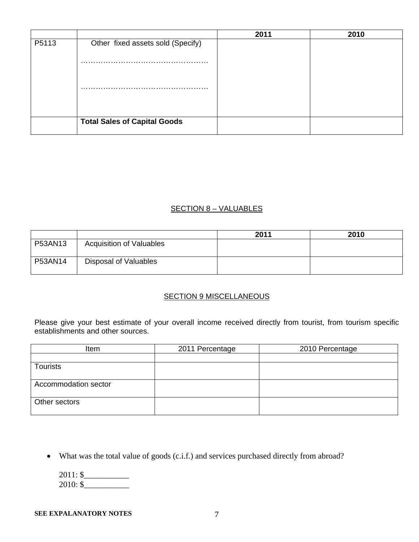|       |                                     | 2011 | 2010 |
|-------|-------------------------------------|------|------|
| P5113 | Other fixed assets sold (Specify)   |      |      |
|       | .                                   |      |      |
|       | .                                   |      |      |
|       |                                     |      |      |
|       | <b>Total Sales of Capital Goods</b> |      |      |

### SECTION 8 – VALUABLES

|         |                                 | 2011 | 2010 |
|---------|---------------------------------|------|------|
| P53AN13 | <b>Acquisition of Valuables</b> |      |      |
| P53AN14 | Disposal of Valuables           |      |      |

# **SECTION 9 MISCELLANEOUS**

Please give your best estimate of your overall income received directly from tourist, from tourism specific establishments and other sources.

| Item                 | 2011 Percentage | 2010 Percentage |
|----------------------|-----------------|-----------------|
|                      |                 |                 |
| <b>Tourists</b>      |                 |                 |
|                      |                 |                 |
| Accommodation sector |                 |                 |
|                      |                 |                 |
| Other sectors        |                 |                 |
|                      |                 |                 |

• What was the total value of goods (c.i.f.) and services purchased directly from abroad?

| $2011:$ \$ |  |
|------------|--|
| $2010:$ \$ |  |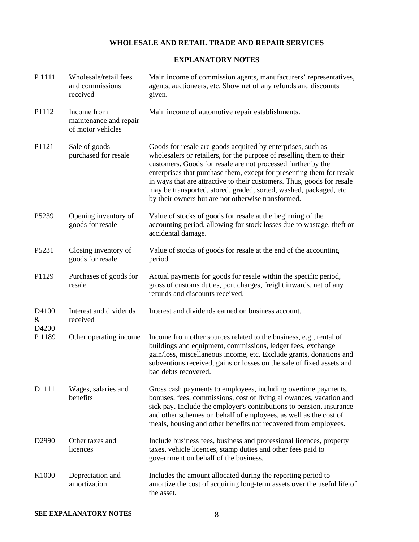### **WHOLESALE AND RETAIL TRADE AND REPAIR SERVICES**

#### **EXPLANATORY NOTES**

| P 1111                        | Wholesale/retail fees<br>and commissions<br>received       | Main income of commission agents, manufacturers' representatives,<br>agents, auctioneers, etc. Show net of any refunds and discounts<br>given.                                                                                                                                                                                                                                                                                                                                     |
|-------------------------------|------------------------------------------------------------|------------------------------------------------------------------------------------------------------------------------------------------------------------------------------------------------------------------------------------------------------------------------------------------------------------------------------------------------------------------------------------------------------------------------------------------------------------------------------------|
| P1112                         | Income from<br>maintenance and repair<br>of motor vehicles | Main income of automotive repair establishments.                                                                                                                                                                                                                                                                                                                                                                                                                                   |
| P1121                         | Sale of goods<br>purchased for resale                      | Goods for resale are goods acquired by enterprises, such as<br>wholesalers or retailers, for the purpose of reselling them to their<br>customers. Goods for resale are not processed further by the<br>enterprises that purchase them, except for presenting them for resale<br>in ways that are attractive to their customers. Thus, goods for resale<br>may be transported, stored, graded, sorted, washed, packaged, etc.<br>by their owners but are not otherwise transformed. |
| P5239                         | Opening inventory of<br>goods for resale                   | Value of stocks of goods for resale at the beginning of the<br>accounting period, allowing for stock losses due to wastage, theft or<br>accidental damage.                                                                                                                                                                                                                                                                                                                         |
| P5231                         | Closing inventory of<br>goods for resale                   | Value of stocks of goods for resale at the end of the accounting<br>period.                                                                                                                                                                                                                                                                                                                                                                                                        |
| P1129                         | Purchases of goods for<br>resale                           | Actual payments for goods for resale within the specific period,<br>gross of customs duties, port charges, freight inwards, net of any<br>refunds and discounts received.                                                                                                                                                                                                                                                                                                          |
| D4100<br>&<br>D4200<br>P 1189 | Interest and dividends<br>received                         | Interest and dividends earned on business account.                                                                                                                                                                                                                                                                                                                                                                                                                                 |
|                               | Other operating income                                     | Income from other sources related to the business, e.g., rental of<br>buildings and equipment, commissions, ledger fees, exchange<br>gain/loss, miscellaneous income, etc. Exclude grants, donations and<br>subventions received, gains or losses on the sale of fixed assets and<br>bad debts recovered.                                                                                                                                                                          |
| D1111                         | Wages, salaries and<br>benefits                            | Gross cash payments to employees, including overtime payments,<br>bonuses, fees, commissions, cost of living allowances, vacation and<br>sick pay. Include the employer's contributions to pension, insurance<br>and other schemes on behalf of employees, as well as the cost of<br>meals, housing and other benefits not recovered from employees.                                                                                                                               |
| D <sub>2990</sub>             | Other taxes and<br>licences                                | Include business fees, business and professional licences, property<br>taxes, vehicle licences, stamp duties and other fees paid to<br>government on behalf of the business.                                                                                                                                                                                                                                                                                                       |
| K1000                         | Depreciation and<br>amortization                           | Includes the amount allocated during the reporting period to<br>amortize the cost of acquiring long-term assets over the useful life of<br>the asset.                                                                                                                                                                                                                                                                                                                              |